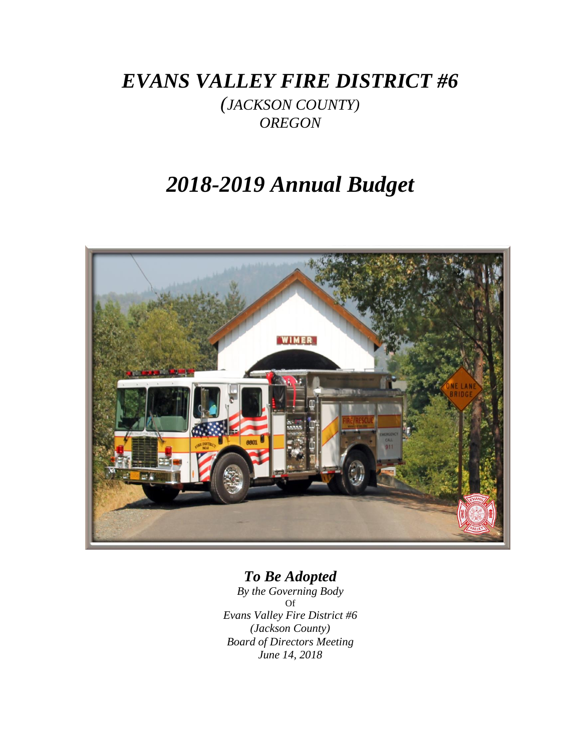*EVANS VALLEY FIRE DISTRICT #6*

*(JACKSON COUNTY) OREGON*

# *2018-2019 Annual Budget*



## *To Be Adopted*

*By the Governing Body* Of *Evans Valley Fire District #6 (Jackson County) Board of Directors Meeting June 14, 2018*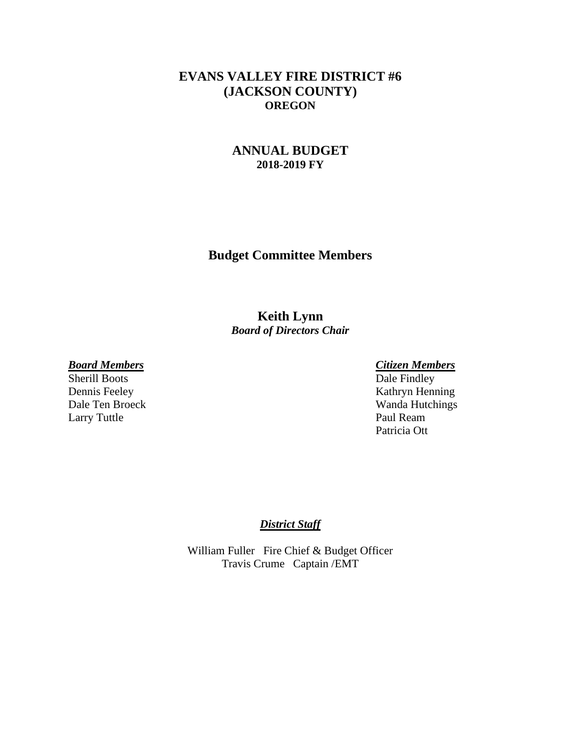### **EVANS VALLEY FIRE DISTRICT #6 (JACKSON COUNTY) OREGON**

### **ANNUAL BUDGET 2018-2019 FY**

**Budget Committee Members**

**Keith Lynn** *Board of Directors Chair*

Sherill Boots Larry Tuttle Paul Ream

*Board Members Citizen Members* Dennis Feeley Kathryn Henning Dale Ten Broeck Wanda Hutchings Patricia Ott

#### *District Staff*

William Fuller Fire Chief & Budget Officer Travis Crume Captain /EMT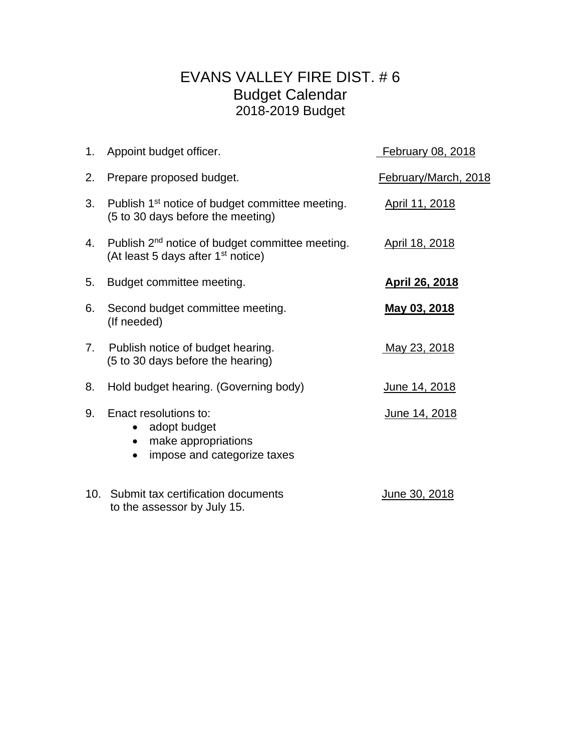## EVANS VALLEY FIRE DIST. # 6 Budget Calendar 2018-2019 Budget

|    | 1. Appoint budget officer.                                                                                    | February 08, 2018     |
|----|---------------------------------------------------------------------------------------------------------------|-----------------------|
| 2. | Prepare proposed budget.                                                                                      | February/March, 2018  |
| 3. | Publish 1 <sup>st</sup> notice of budget committee meeting.<br>(5 to 30 days before the meeting)              | April 11, 2018        |
| 4. | Publish 2 <sup>nd</sup> notice of budget committee meeting.<br>(At least 5 days after 1 <sup>st</sup> notice) | April 18, 2018        |
| 5. | Budget committee meeting.                                                                                     | <b>April 26, 2018</b> |
| 6. | Second budget committee meeting.<br>(If needed)                                                               | May 03, 2018          |
| 7. | Publish notice of budget hearing.<br>(5 to 30 days before the hearing)                                        | <u>May 23, 2018</u>   |
| 8. | Hold budget hearing. (Governing body)                                                                         | <u>June 14, 2018</u>  |
| 9. | Enact resolutions to:<br>adopt budget<br>$\bullet$<br>make appropriations<br>impose and categorize taxes      | June 14, 2018         |
|    | 10. Submit tax certification documents<br>to the assessor by July 15.                                         | June 30, 2018         |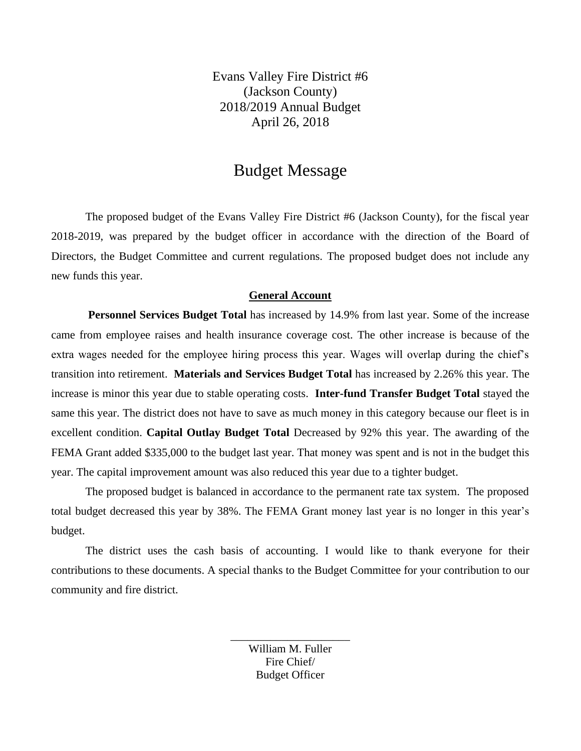Evans Valley Fire District #6 (Jackson County) 2018/2019 Annual Budget April 26, 2018

## Budget Message

The proposed budget of the Evans Valley Fire District #6 (Jackson County), for the fiscal year 2018-2019, was prepared by the budget officer in accordance with the direction of the Board of Directors, the Budget Committee and current regulations. The proposed budget does not include any new funds this year.

#### **General Account**

**Personnel Services Budget Total** has increased by 14.9% from last year. Some of the increase came from employee raises and health insurance coverage cost. The other increase is because of the extra wages needed for the employee hiring process this year. Wages will overlap during the chief's transition into retirement. **Materials and Services Budget Total** has increased by 2.26% this year. The increase is minor this year due to stable operating costs. **Inter-fund Transfer Budget Total** stayed the same this year. The district does not have to save as much money in this category because our fleet is in excellent condition. **Capital Outlay Budget Total** Decreased by 92% this year. The awarding of the FEMA Grant added \$335,000 to the budget last year. That money was spent and is not in the budget this year. The capital improvement amount was also reduced this year due to a tighter budget.

The proposed budget is balanced in accordance to the permanent rate tax system. The proposed total budget decreased this year by 38%. The FEMA Grant money last year is no longer in this year's budget.

The district uses the cash basis of accounting. I would like to thank everyone for their contributions to these documents. A special thanks to the Budget Committee for your contribution to our community and fire district.

> \_\_\_\_\_\_\_\_\_\_\_\_\_\_\_\_\_\_\_\_\_ William M. Fuller Fire Chief/ Budget Officer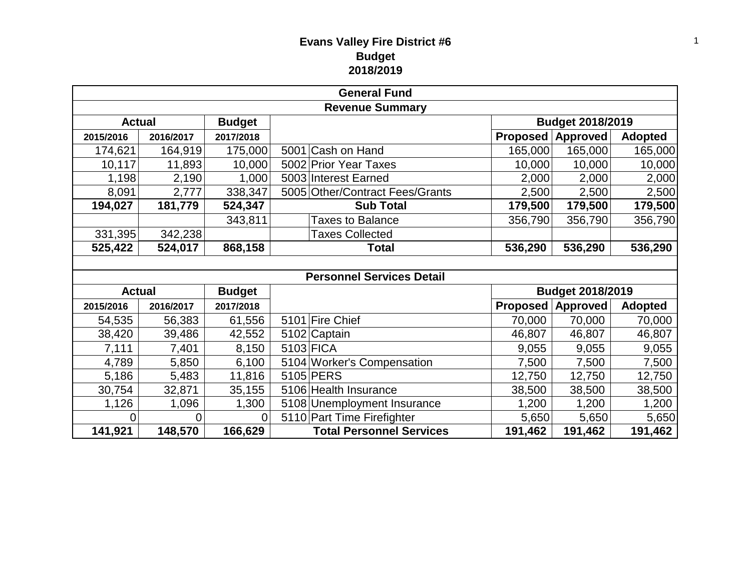## **Evans Valley Fire District #6 Budget 2018/2019**

| <b>General Fund</b>    |           |               |                                  |                 |                         |                |  |  |
|------------------------|-----------|---------------|----------------------------------|-----------------|-------------------------|----------------|--|--|
| <b>Revenue Summary</b> |           |               |                                  |                 |                         |                |  |  |
| <b>Actual</b>          |           | <b>Budget</b> |                                  |                 | <b>Budget 2018/2019</b> |                |  |  |
| 2015/2016              | 2016/2017 | 2017/2018     |                                  | <b>Proposed</b> | <b>Approved</b>         | <b>Adopted</b> |  |  |
| 174,621                | 164,919   | 175,000       | 5001 Cash on Hand                | 165,000         | 165,000                 | 165,000        |  |  |
| 10, 117                | 11,893    | 10,000        | 5002 Prior Year Taxes            | 10,000          | 10,000                  | 10,000         |  |  |
| 1,198                  | 2,190     | 1,000         | 5003 Interest Earned             | 2,000           | 2,000                   | 2,000          |  |  |
| 8,091                  | 2,777     | 338,347       | 5005 Other/Contract Fees/Grants  | 2,500           | 2,500                   | 2,500          |  |  |
| 194,027                | 181,779   | 524,347       | <b>Sub Total</b>                 | 179,500         | 179,500                 | 179,500        |  |  |
|                        |           | 343,811       | <b>Taxes to Balance</b>          | 356,790         | 356,790                 | 356,790        |  |  |
| 331,395                | 342,238   |               | <b>Taxes Collected</b>           |                 |                         |                |  |  |
| 525,422                | 524,017   | 868,158       | <b>Total</b>                     | 536,290         | 536,290                 | 536,290        |  |  |
|                        |           |               |                                  |                 |                         |                |  |  |
|                        |           |               | <b>Personnel Services Detail</b> |                 |                         |                |  |  |
| <b>Actual</b>          |           | <b>Budget</b> |                                  |                 | Budget 2018/2019        |                |  |  |
| 2015/2016              | 2016/2017 | 2017/2018     |                                  | <b>Proposed</b> | <b>Approved</b>         | <b>Adopted</b> |  |  |
| 54,535                 | 56,383    | 61,556        | 5101 Fire Chief                  | 70,000          | 70,000                  | 70,000         |  |  |
| 38,420                 | 39,486    | 42,552        | 5102 Captain                     | 46,807          | 46,807                  | 46,807         |  |  |
| 7,111                  | 7,401     | 8,150         | 5103 FICA                        | 9,055           | 9,055                   | 9,055          |  |  |
| 4,789                  | 5,850     | 6,100         | 5104 Worker's Compensation       | 7,500           | 7,500                   | 7,500          |  |  |
| 5,186                  | 5,483     | 11,816        | 5105 PERS                        | 12,750          | 12,750                  | 12,750         |  |  |
| 30,754                 | 32,871    | 35,155        | 5106 Health Insurance            | 38,500          | 38,500                  | 38,500         |  |  |
| 1,126                  | 1,096     | 1,300         | 5108 Unemployment Insurance      | 1,200           | 1,200                   | 1,200          |  |  |
| 0                      | 0         | $\Omega$      | 5110 Part Time Firefighter       | 5,650           | 5,650                   | 5,650          |  |  |
| 141,921                | 148,570   | 166,629       | <b>Total Personnel Services</b>  | 191,462         | 191,462                 | 191,462        |  |  |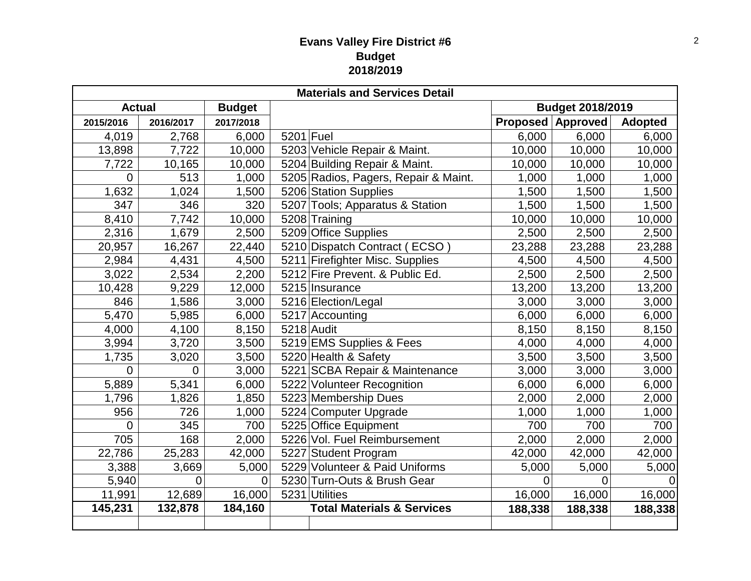## **Evans Valley Fire District #6 Budget 2018/2019**

| <b>Materials and Services Detail</b> |             |                |             |                                       |                         |          |                |  |
|--------------------------------------|-------------|----------------|-------------|---------------------------------------|-------------------------|----------|----------------|--|
| <b>Actual</b><br><b>Budget</b>       |             |                |             |                                       | <b>Budget 2018/2019</b> |          |                |  |
| 2015/2016                            | 2016/2017   | 2017/2018      |             |                                       | <b>Proposed</b>         | Approved | <b>Adopted</b> |  |
| 4,019                                | 2,768       | 6,000          | $5201$ Fuel |                                       | 6,000                   | 6,000    | 6,000          |  |
| 13,898                               | 7,722       | 10,000         |             | 5203 Vehicle Repair & Maint.          | 10,000                  | 10,000   | 10,000         |  |
| 7,722                                | 10,165      | 10,000         |             | 5204 Building Repair & Maint.         | 10,000                  | 10,000   | 10,000         |  |
| $\overline{0}$                       | 513         | 1,000          |             | 5205 Radios, Pagers, Repair & Maint.  | 1,000                   | 1,000    | 1,000          |  |
| 1,632                                | 1,024       | 1,500          |             | 5206 Station Supplies                 | 1,500                   | 1,500    | 1,500          |  |
| 347                                  | 346         | 320            |             | 5207 Tools; Apparatus & Station       | 1,500                   | 1,500    | 1,500          |  |
| 8,410                                | 7,742       | 10,000         |             | 5208 Training                         | 10,000                  | 10,000   | 10,000         |  |
| 2,316                                | 1,679       | 2,500          |             | 5209 Office Supplies                  | 2,500                   | 2,500    | 2,500          |  |
| 20,957                               | 16,267      | 22,440         |             | 5210 Dispatch Contract (ECSO)         | 23,288                  | 23,288   | 23,288         |  |
| 2,984                                | 4,431       | 4,500          |             | 5211 Firefighter Misc. Supplies       | 4,500                   | 4,500    | 4,500          |  |
| 3,022                                | 2,534       | 2,200          |             | 5212 Fire Prevent. & Public Ed.       | 2,500                   | 2,500    | 2,500          |  |
| 10,428                               | 9,229       | 12,000         |             | 5215 Insurance                        | 13,200                  | 13,200   | 13,200         |  |
| 846                                  | 1,586       | 3,000          |             | 5216 Election/Legal                   | 3,000                   | 3,000    | 3,000          |  |
| 5,470                                | 5,985       | 6,000          |             | 5217 Accounting                       | 6,000                   | 6,000    | 6,000          |  |
| 4,000                                | 4,100       | 8,150          |             | $5218$ Audit                          | 8,150                   | 8,150    | 8,150          |  |
| 3,994                                | 3,720       | 3,500          |             | 5219 EMS Supplies & Fees              | 4,000                   | 4,000    | 4,000          |  |
| 1,735                                | 3,020       | 3,500          |             | 5220 Health & Safety                  | 3,500                   | 3,500    | 3,500          |  |
| 0                                    | $\mathbf 0$ | 3,000          |             | 5221 SCBA Repair & Maintenance        | 3,000                   | 3,000    | 3,000          |  |
| 5,889                                | 5,341       | 6,000          |             | 5222 Volunteer Recognition            | 6,000                   | 6,000    | 6,000          |  |
| 1,796                                | 1,826       | 1,850          |             | 5223 Membership Dues                  | 2,000                   | 2,000    | 2,000          |  |
| 956                                  | 726         | 1,000          |             | 5224 Computer Upgrade                 | 1,000                   | 1,000    | 1,000          |  |
| 0                                    | 345         | 700            |             | 5225 Office Equipment                 | 700                     | 700      | 700            |  |
| 705                                  | 168         | 2,000          |             | 5226 Vol. Fuel Reimbursement          | 2,000                   | 2,000    | 2,000          |  |
| 22,786                               | 25,283      | 42,000         |             | 5227 Student Program                  | 42,000                  | 42,000   | 42,000         |  |
| 3,388                                | 3,669       | 5,000          |             | 5229 Volunteer & Paid Uniforms        | 5,000                   | 5,000    | 5,000          |  |
| 5,940                                | 0           | $\overline{0}$ |             | 5230 Turn-Outs & Brush Gear           | 0                       | 0        |                |  |
| 11,991                               | 12,689      | 16,000         |             | 5231 Utilities                        | 16,000                  | 16,000   | 16,000         |  |
| 145,231                              | 132,878     | 184,160        |             | <b>Total Materials &amp; Services</b> | 188,338                 | 188,338  | 188,338        |  |
|                                      |             |                |             |                                       |                         |          |                |  |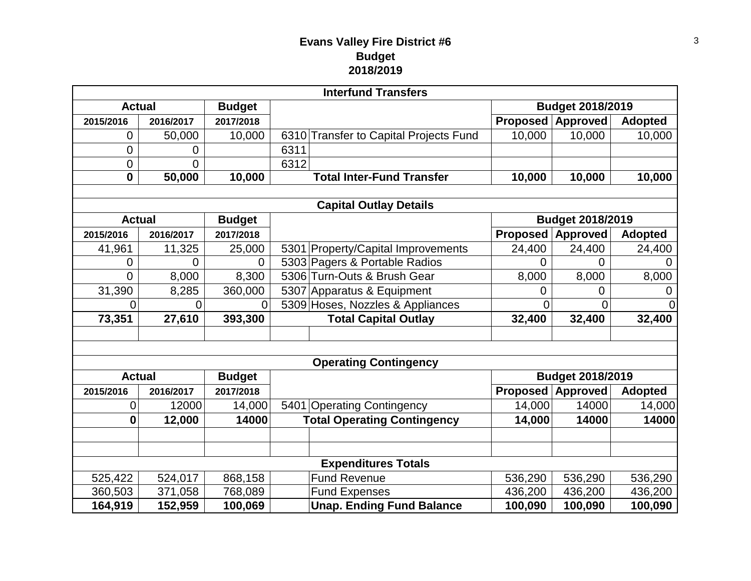## **Evans Valley Fire District #6 Budget 2018/2019**

| <b>Interfund Transfers</b>     |                |               |                                    |                                        |                         |                          |                |  |  |
|--------------------------------|----------------|---------------|------------------------------------|----------------------------------------|-------------------------|--------------------------|----------------|--|--|
| <b>Actual</b>                  |                | <b>Budget</b> |                                    |                                        |                         | <b>Budget 2018/2019</b>  |                |  |  |
| 2015/2016                      | 2016/2017      | 2017/2018     |                                    |                                        |                         | <b>Proposed Approved</b> | <b>Adopted</b> |  |  |
| 0                              | 50,000         | 10,000        |                                    | 6310 Transfer to Capital Projects Fund | 10,000                  | 10,000                   | 10,000         |  |  |
| 0                              | 0              |               | 6311                               |                                        |                         |                          |                |  |  |
| 0                              | $\overline{0}$ |               | 6312                               |                                        |                         |                          |                |  |  |
| $\overline{\mathbf{0}}$        | 50,000         | 10,000        |                                    | <b>Total Inter-Fund Transfer</b>       | 10,000                  | 10,000                   | 10,000         |  |  |
|                                |                |               |                                    |                                        |                         |                          |                |  |  |
| <b>Capital Outlay Details</b>  |                |               |                                    |                                        |                         |                          |                |  |  |
| <b>Actual</b>                  |                | <b>Budget</b> |                                    |                                        |                         | Budget 2018/2019         |                |  |  |
| 2015/2016                      | 2016/2017      | 2017/2018     |                                    |                                        | <b>Proposed</b>         | Approved                 | <b>Adopted</b> |  |  |
| 41,961                         | 11,325         | 25,000        |                                    | 5301 Property/Capital Improvements     | 24,400                  | 24,400                   | 24,400         |  |  |
| 0                              | 0              | $\Omega$      |                                    | 5303 Pagers & Portable Radios          | 0                       | $\Omega$                 | 0              |  |  |
| 0                              | 8,000          | 8,300         |                                    | 5306 Turn-Outs & Brush Gear            | 8,000                   | 8,000                    | 8,000          |  |  |
| 31,390                         | 8,285          | 360,000       |                                    | 5307 Apparatus & Equipment             | 0                       | 0                        | 0              |  |  |
| $\Omega$                       | $\overline{0}$ | $\Omega$      | 5309 Hoses, Nozzles & Appliances   |                                        | 0                       | 0                        | 0              |  |  |
| 73,351                         | 27,610         | 393,300       |                                    | <b>Total Capital Outlay</b>            | 32,400                  | 32,400                   | 32,400         |  |  |
|                                |                |               |                                    |                                        |                         |                          |                |  |  |
|                                |                |               |                                    |                                        |                         |                          |                |  |  |
| <b>Operating Contingency</b>   |                |               |                                    |                                        |                         |                          |                |  |  |
| <b>Actual</b><br><b>Budget</b> |                |               |                                    |                                        | <b>Budget 2018/2019</b> |                          |                |  |  |
| 2015/2016                      | 2016/2017      | 2017/2018     |                                    |                                        |                         | <b>Proposed Approved</b> | <b>Adopted</b> |  |  |
| 0                              | 12000          | 14,000        |                                    | 5401 Operating Contingency             | 14,000                  | 14000                    | 14,000         |  |  |
| $\boldsymbol{0}$               | 12,000         | 14000         | <b>Total Operating Contingency</b> |                                        | 14,000                  | 14000                    | 14000          |  |  |
|                                |                |               |                                    |                                        |                         |                          |                |  |  |
|                                |                |               |                                    |                                        |                         |                          |                |  |  |
| <b>Expenditures Totals</b>     |                |               |                                    |                                        |                         |                          |                |  |  |
| 525,422                        | 524,017        | 868,158       |                                    | <b>Fund Revenue</b>                    | 536,290                 | 536,290                  | 536,290        |  |  |
| 360,503                        | 371,058        | 768,089       |                                    | <b>Fund Expenses</b>                   | 436,200                 | 436,200                  | 436,200        |  |  |
| 164,919                        | 152,959        | 100,069       |                                    | <b>Unap. Ending Fund Balance</b>       | 100,090                 | 100,090                  | 100,090        |  |  |